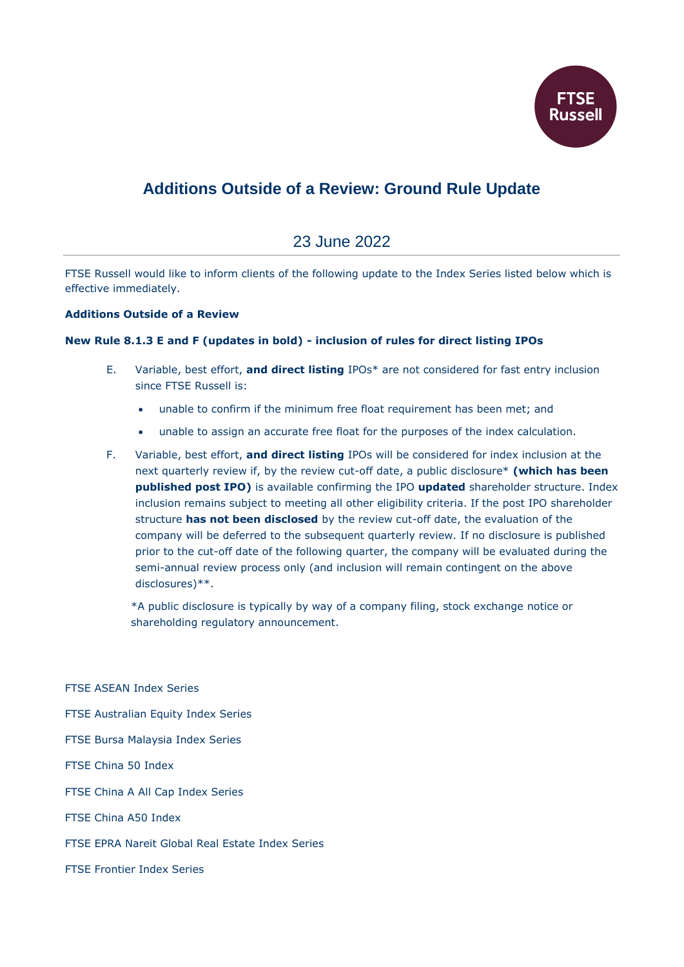

## **Additions Outside of a Review: Ground Rule Update**

## 23 June 2022

FTSE Russell would like to inform clients of the following update to the Index Series listed below which is effective immediately.

## **Additions Outside of a Review**

## **New Rule 8.1.3 E and F (updates in bold) - inclusion of rules for direct listing IPOs**

- E. Variable, best effort, **and direct listing** IPOs\* are not considered for fast entry inclusion since FTSE Russell is:
	- unable to confirm if the minimum free float requirement has been met; and
	- unable to assign an accurate free float for the purposes of the index calculation.
- F. Variable, best effort, **and direct listing** IPOs will be considered for index inclusion at the next quarterly review if, by the review cut-off date, a public disclosure\* **(which has been published post IPO)** is available confirming the IPO **updated** shareholder structure. Index inclusion remains subject to meeting all other eligibility criteria. If the post IPO shareholder structure **has not been disclosed** by the review cut-off date, the evaluation of the company will be deferred to the subsequent quarterly review. If no disclosure is published prior to the cut-off date of the following quarter, the company will be evaluated during the semi-annual review process only (and inclusion will remain contingent on the above disclosures)\*\*.

\*A public disclosure is typically by way of a company filing, stock exchange notice or shareholding regulatory announcement.

FTSE ASEAN Index Series FTSE Australian Equity Index Series FTSE Bursa Malaysia Index Series FTSE China 50 Index FTSE China A All Cap Index Series FTSE China A50 Index FTSE EPRA Nareit Global Real Estate Index Series FTSE Frontier Index Series